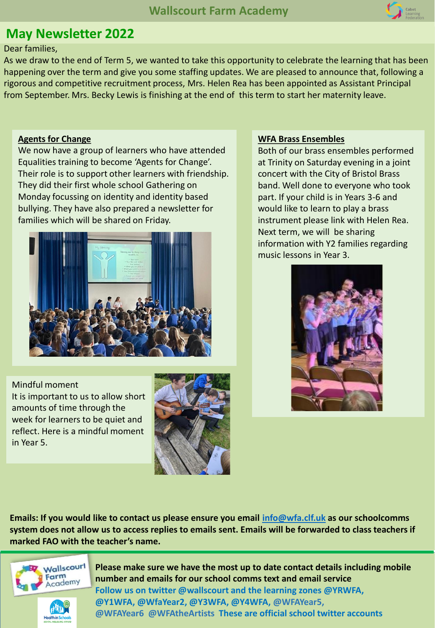

## **May Newsletter 2022**

### Dear families,

As we draw to the end of Term 5, we wanted to take this opportunity to celebrate the learning that has been happening over the term and give you some staffing updates. We are pleased to announce that, following a rigorous and competitive recruitment process, Mrs. Helen Rea has been appointed as Assistant Principal from September. Mrs. Becky Lewis is finishing at the end of this term to start her maternity leave.

### **Agents for Change**

We now have a group of learners who have attended Equalities training to become 'Agents for Change'. Their role is to support other learners with friendship. They did their first whole school Gathering on Monday focussing on identity and identity based bullying. They have also prepared a newsletter for families which will be shared on Friday.



Mindful moment

It is important to us to allow short amounts of time through the week for learners to be quiet and reflect. Here is a mindful moment in Year 5.



### **WFA Brass Ensembles**

Both of our brass ensembles performed at Trinity on Saturday evening in a joint concert with the City of Bristol Brass band. Well done to everyone who took part. If your child is in Years 3-6 and would like to learn to play a brass instrument please link with Helen Rea. Next term, we will be sharing information with Y2 families regarding music lessons in Year 3.



**Emails: If you would like to contact us please ensure you email [info@wfa.clf.uk](mailto:info@wfa.clf.uk) as our schoolcomms system does not allow us to access replies to emails sent. Emails will be forwarded to class teachers if marked FAO with the teacher's name.** 



**Health in Sci** 

**Please make sure we have the most up to date contact details including mobile number and emails for our school comms text and email service Follow us on twitter @wallscourt and the learning zones @YRWFA, @Y1WFA, @WfaYear2, @Y3WFA, @Y4WFA, @WFAYear5, @WFAYear6 @WFAtheArtists These are official school twitter accounts**